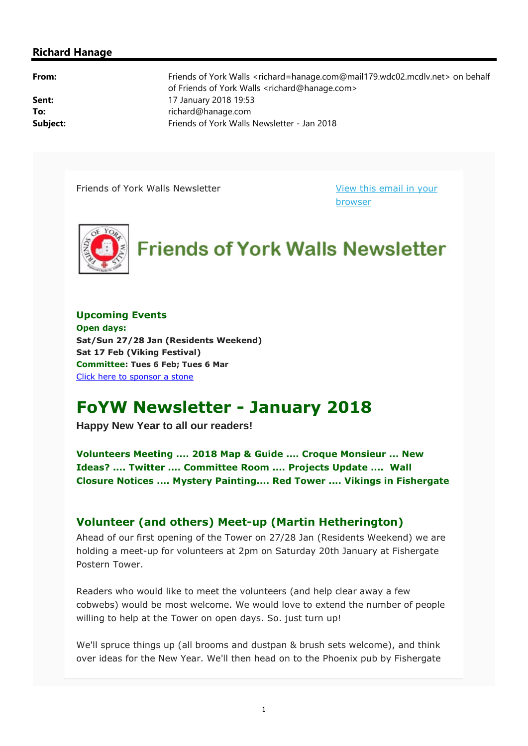#### **Richard Hanage**

**From:** Friends of York Walls <richard=hanage.com@mail179.wdc02.mcdlv.net> on behalf of Friends of York Walls <richard@hanage.com> **Sent:** 17 January 2018 19:53 **To:** richard@hanage.com **Subject:** Friends of York Walls Newsletter - Jan 2018

Friends of York Walls Newsletter View this email in your

browser



**Upcoming Events Open days: Sat/Sun 27/28 Jan (Residents Weekend) Sat 17 Feb (Viking Festival) Committee: Tues 6 Feb; Tues 6 Mar** Click here to sponsor a stone

# **FoYW Newsletter - January 2018**

**Happy New Year to all our readers!**

**Volunteers Meeting .... 2018 Map & Guide .... Croque Monsieur ... New Ideas? .... Twitter .... Committee Room .... Projects Update .... Wall Closure Notices .... Mystery Painting.... Red Tower .... Vikings in Fishergate** 

## **Volunteer (and others) Meet-up (Martin Hetherington)**

Ahead of our first opening of the Tower on 27/28 Jan (Residents Weekend) we are holding a meet-up for volunteers at 2pm on Saturday 20th January at Fishergate Postern Tower.

Readers who would like to meet the volunteers (and help clear away a few cobwebs) would be most welcome. We would love to extend the number of people willing to help at the Tower on open days. So, just turn up!

We'll spruce things up (all brooms and dustpan & brush sets welcome), and think over ideas for the New Year. We'll then head on to the Phoenix pub by Fishergate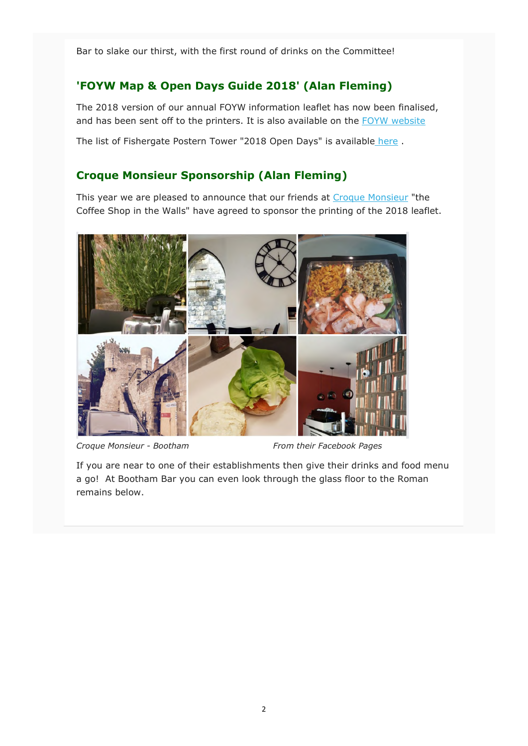Bar to slake our thirst, with the first round of drinks on the Committee!

## **'FOYW Map & Open Days Guide 2018' (Alan Fleming)**

The 2018 version of our annual FOYW information leaflet has now been finalised, and has been sent off to the printers. It is also available on the FOYW website

The list of Fishergate Postern Tower "2018 Open Days" is available here .

#### **Croque Monsieur Sponsorship (Alan Fleming)**

This year we are pleased to announce that our friends at Croque Monsieur "the Coffee Shop in the Walls" have agreed to sponsor the printing of the 2018 leaflet.



Croque Monsieur - Bootham From their Facebook Pages

If you are near to one of their establishments then give their drinks and food menu a go! At Bootham Bar you can even look through the glass floor to the Roman remains below.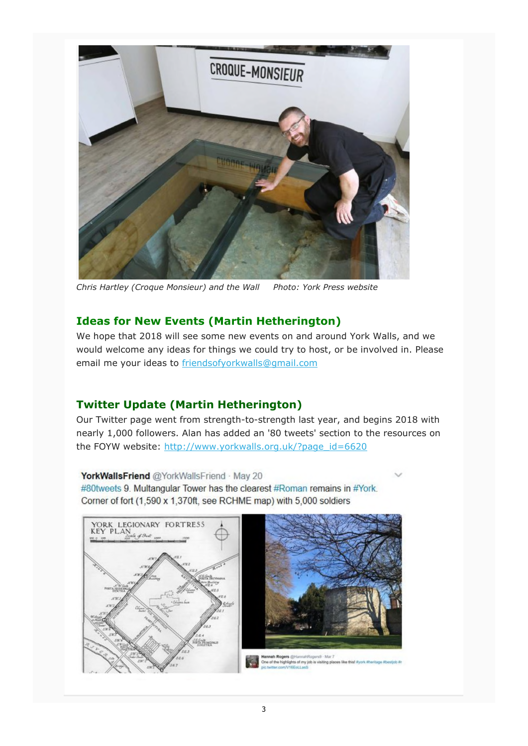

*Chris Hartley (Croque Monsieur) and the Wall Photo: York Press website*

## **Ideas for New Events (Martin Hetherington)**

We hope that 2018 will see some new events on and around York Walls, and we would welcome any ideas for things we could try to host, or be involved in. Please email me your ideas to friendsofyorkwalls@gmail.com

## **Twitter Update (Martin Hetherington)**

Our Twitter page went from strength-to-strength last year, and begins 2018 with nearly 1,000 followers. Alan has added an '80 tweets' section to the resources on the FOYW website: http://www.yorkwalls.org.uk/?page\_id=6620

YorkWallsFriend @YorkWallsFriend May 20 #80tweets 9. Multangular Tower has the clearest #Roman remains in #York. Corner of fort (1,590 x 1,370ft, see RCHME map) with 5,000 soldiers

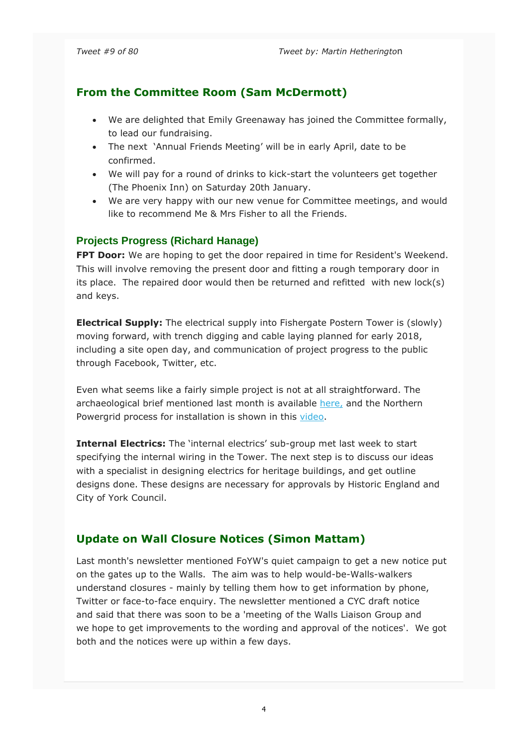## **From the Committee Room (Sam McDermott)**

- We are delighted that Emily Greenaway has joined the Committee formally, to lead our fundraising.
- The next 'Annual Friends Meeting' will be in early April, date to be confirmed.
- We will pay for a round of drinks to kick-start the volunteers get together (The Phoenix Inn) on Saturday 20th January.
- We are very happy with our new venue for Committee meetings, and would like to recommend Me & Mrs Fisher to all the Friends.

#### **Projects Progress (Richard Hanage)**

**FPT Door:** We are hoping to get the door repaired in time for Resident's Weekend. This will involve removing the present door and fitting a rough temporary door in its place. The repaired door would then be returned and refitted with new lock(s) and keys.

**Electrical Supply:** The electrical supply into Fishergate Postern Tower is (slowly) moving forward, with trench digging and cable laying planned for early 2018, including a site open day, and communication of project progress to the public through Facebook, Twitter, etc.

Even what seems like a fairly simple project is not at all straightforward. The archaeological brief mentioned last month is available here, and the Northern Powergrid process for installation is shown in this video.

**Internal Electrics:** The 'internal electrics' sub-group met last week to start specifying the internal wiring in the Tower. The next step is to discuss our ideas with a specialist in designing electrics for heritage buildings, and get outline designs done. These designs are necessary for approvals by Historic England and City of York Council.

#### **Update on Wall Closure Notices (Simon Mattam)**

Last month's newsletter mentioned FoYW's quiet campaign to get a new notice put on the gates up to the Walls. The aim was to help would-be-Walls-walkers understand closures - mainly by telling them how to get information by phone, Twitter or face-to-face enquiry. The newsletter mentioned a CYC draft notice and said that there was soon to be a 'meeting of the Walls Liaison Group and we hope to get improvements to the wording and approval of the notices'. We got both and the notices were up within a few days.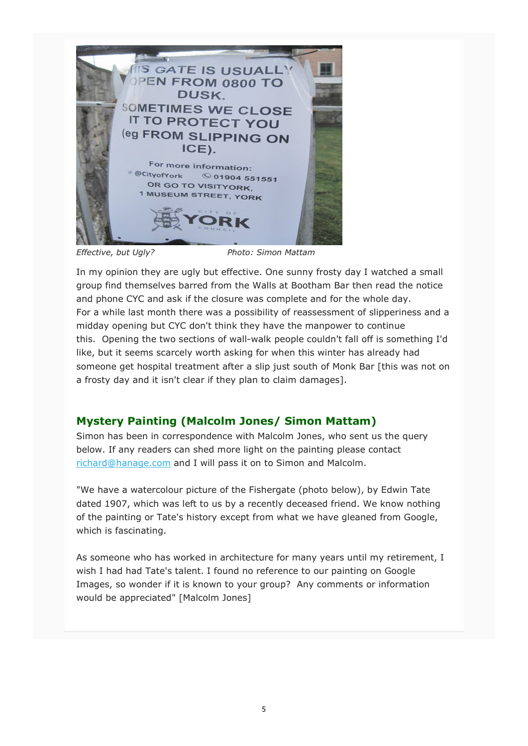

*Effective, but Ugly? Photo: Simon Mattam*

In my opinion they are ugly but effective. One sunny frosty day I watched a small group find themselves barred from the Walls at Bootham Bar then read the notice and phone CYC and ask if the closure was complete and for the whole day. For a while last month there was a possibility of reassessment of slipperiness and a midday opening but CYC don't think they have the manpower to continue this. Opening the two sections of wall-walk people couldn't fall off is something I'd like, but it seems scarcely worth asking for when this winter has already had someone get hospital treatment after a slip just south of Monk Bar [this was not on a frosty day and it isn't clear if they plan to claim damages].

## **Mystery Painting (Malcolm Jones/ Simon Mattam)**

Simon has been in correspondence with Malcolm Jones, who sent us the query below. If any readers can shed more light on the painting please contact richard@hanage.com and I will pass it on to Simon and Malcolm.

"We have a watercolour picture of the Fishergate (photo below), by Edwin Tate dated 1907, which was left to us by a recently deceased friend. We know nothing of the painting or Tate's history except from what we have gleaned from Google, which is fascinating.

As someone who has worked in architecture for many years until my retirement, I wish I had had Tate's talent. I found no reference to our painting on Google Images, so wonder if it is known to your group? Any comments or information would be appreciated" [Malcolm Jones]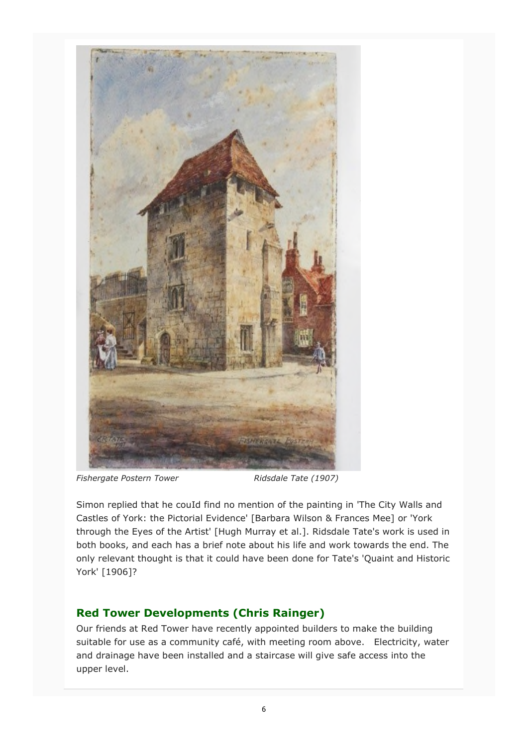

Fishergate Postern Tower Ridsdale Tate (1907)

Simon replied that he couId find no mention of the painting in 'The City Walls and Castles of York: the Pictorial Evidence' [Barbara Wilson & Frances Mee] or 'York through the Eyes of the Artist' [Hugh Murray et al.]. Ridsdale Tate's work is used in both books, and each has a brief note about his life and work towards the end. The only relevant thought is that it could have been done for Tate's 'Quaint and Historic York' [1906]?

## **Red Tower Developments (Chris Rainger)**

Our friends at Red Tower have recently appointed builders to make the building suitable for use as a community café, with meeting room above. Electricity, water and drainage have been installed and a staircase will give safe access into the upper level.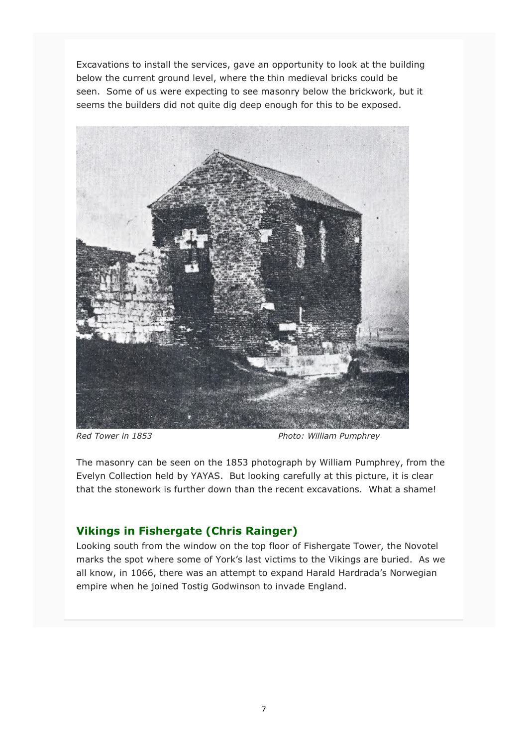Excavations to install the services, gave an opportunity to look at the building below the current ground level, where the thin medieval bricks could be seen. Some of us were expecting to see masonry below the brickwork, but it seems the builders did not quite dig deep enough for this to be exposed.



Red Tower in 1853 **Red Tower in 1853** Photo: William Pumphrey

The masonry can be seen on the 1853 photograph by William Pumphrey, from the Evelyn Collection held by YAYAS. But looking carefully at this picture, it is clear that the stonework is further down than the recent excavations. What a shame!

## **Vikings in Fishergate (Chris Rainger)**

Looking south from the window on the top floor of Fishergate Tower, the Novotel marks the spot where some of York's last victims to the Vikings are buried. As we all know, in 1066, there was an attempt to expand Harald Hardrada's Norwegian empire when he joined Tostig Godwinson to invade England.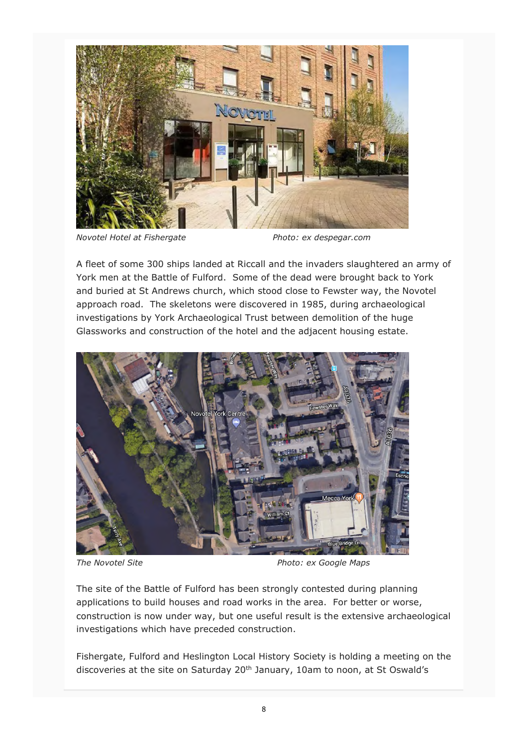

*Novotel Hotel at Fishergate Photo: ex despegar.com*

A fleet of some 300 ships landed at Riccall and the invaders slaughtered an army of York men at the Battle of Fulford. Some of the dead were brought back to York and buried at St Andrews church, which stood close to Fewster way, the Novotel approach road. The skeletons were discovered in 1985, during archaeological investigations by York Archaeological Trust between demolition of the huge Glassworks and construction of the hotel and the adjacent housing estate.



*The Novotel Site Photo: ex Google Maps* 

The site of the Battle of Fulford has been strongly contested during planning applications to build houses and road works in the area. For better or worse, construction is now under way, but one useful result is the extensive archaeological investigations which have preceded construction.

Fishergate, Fulford and Heslington Local History Society is holding a meeting on the discoveries at the site on Saturday 20<sup>th</sup> January, 10am to noon, at St Oswald's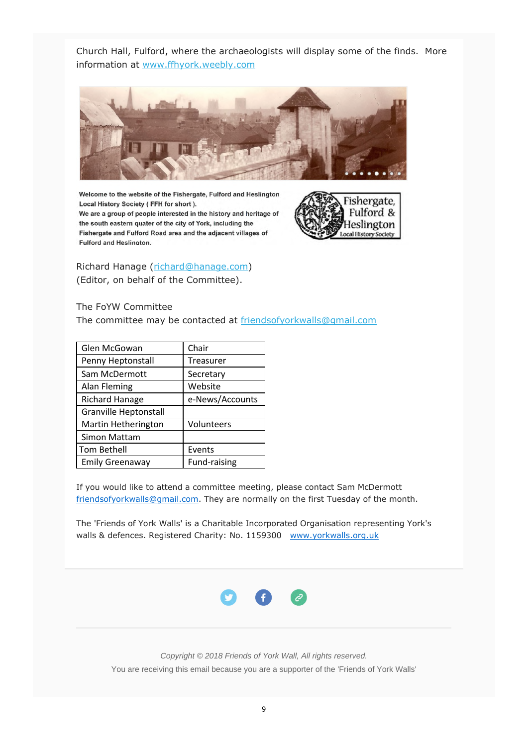Church Hall, Fulford, where the archaeologists will display some of the finds. More information at www.ffhyork.weebly.com



Welcome to the website of the Fishergate, Fulford and Heslington Local History Society (FFH for short).

We are a group of people interested in the history and heritage of the south eastern quater of the city of York, including the Fishergate and Fulford Road area and the adjacent villages of Fulford and Heslington.



Richard Hanage (richard@hanage.com) (Editor, on behalf of the Committee).

The FoYW Committee

The committee may be contacted at friendsofyorkwalls@gmail.com

| Glen McGowan                 | Chair           |
|------------------------------|-----------------|
| Penny Heptonstall            | Treasurer       |
| Sam McDermott                | Secretary       |
| Alan Fleming                 | Website         |
| <b>Richard Hanage</b>        | e-News/Accounts |
| <b>Granville Heptonstall</b> |                 |
| Martin Hetherington          | Volunteers      |
| Simon Mattam                 |                 |
| <b>Tom Bethell</b>           | Events          |
| <b>Emily Greenaway</b>       | Fund-raising    |

If you would like to attend a committee meeting, please contact Sam McDermott friendsofyorkwalls@gmail.com. They are normally on the first Tuesday of the month.

The 'Friends of York Walls' is a Charitable Incorporated Organisation representing York's walls & defences. Registered Charity: No. 1159300 www.yorkwalls.org.uk



*Copyright © 2018 Friends of York Wall, All rights reserved.* You are receiving this email because you are a supporter of the 'Friends of York Walls'